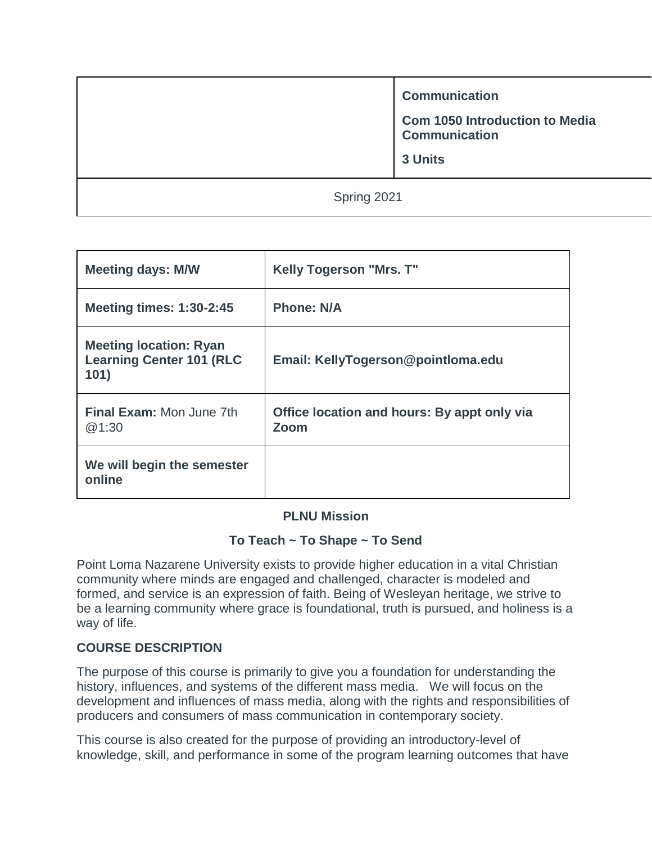**Communication**

**Com 1050 Introduction to Media Communication**

**3 Units**

Spring 2021

| <b>Meeting days: M/W</b>                                                 | <b>Kelly Togerson "Mrs. T"</b>                      |
|--------------------------------------------------------------------------|-----------------------------------------------------|
| <b>Meeting times: 1:30-2:45</b>                                          | <b>Phone: N/A</b>                                   |
| <b>Meeting location: Ryan</b><br><b>Learning Center 101 (RLC</b><br>101) | Email: KellyTogerson@pointloma.edu                  |
| Final Exam: Mon June 7th<br>@1:30                                        | Office location and hours: By appt only via<br>Zoom |
| We will begin the semester<br>online                                     |                                                     |

## **PLNU Mission**

## **To Teach ~ To Shape ~ To Send**

Point Loma Nazarene University exists to provide higher education in a vital Christian community where minds are engaged and challenged, character is modeled and formed, and service is an expression of faith. Being of Wesleyan heritage, we strive to be a learning community where grace is foundational, truth is pursued, and holiness is a way of life.

## **COURSE DESCRIPTION**

The purpose of this course is primarily to give you a foundation for understanding the history, influences, and systems of the different mass media. We will focus on the development and influences of mass media, along with the rights and responsibilities of producers and consumers of mass communication in contemporary society.

This course is also created for the purpose of providing an introductory-level of knowledge, skill, and performance in some of the program learning outcomes that have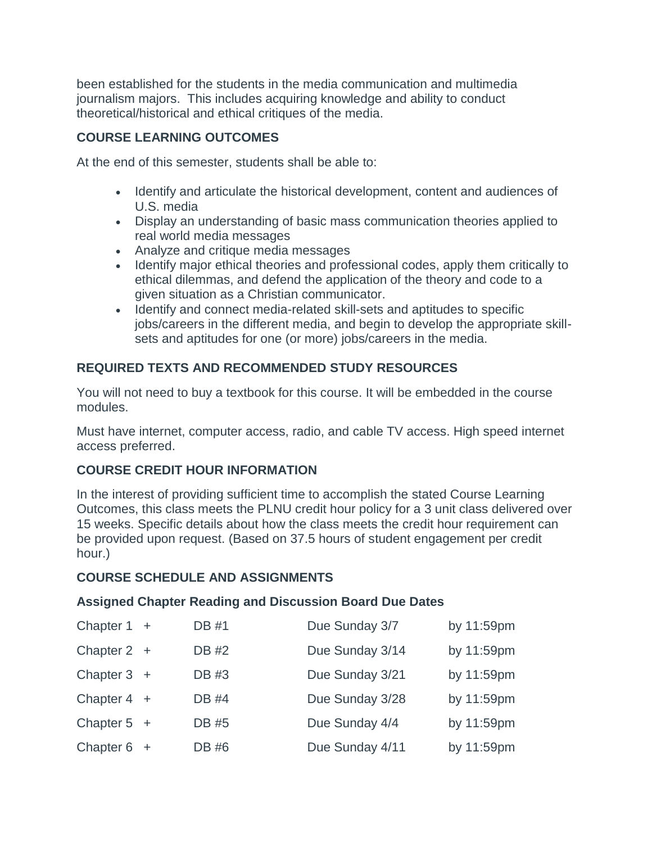been established for the students in the media communication and multimedia journalism majors. This includes acquiring knowledge and ability to conduct theoretical/historical and ethical critiques of the media.

## **COURSE LEARNING OUTCOMES**

At the end of this semester, students shall be able to:

- Identify and articulate the historical development, content and audiences of U.S. media
- Display an understanding of basic mass communication theories applied to real world media messages
- Analyze and critique media messages
- Identify major ethical theories and professional codes, apply them critically to ethical dilemmas, and defend the application of the theory and code to a given situation as a Christian communicator.
- Identify and connect media-related skill-sets and aptitudes to specific jobs/careers in the different media, and begin to develop the appropriate skillsets and aptitudes for one (or more) jobs/careers in the media.

## **REQUIRED TEXTS AND RECOMMENDED STUDY RESOURCES**

You will not need to buy a textbook for this course. It will be embedded in the course modules.

Must have internet, computer access, radio, and cable TV access. High speed internet access preferred.

## **COURSE CREDIT HOUR INFORMATION**

In the interest of providing sufficient time to accomplish the stated Course Learning Outcomes, this class meets the PLNU credit hour policy for a 3 unit class delivered over 15 weeks. Specific details about how the class meets the credit hour requirement can be provided upon request. (Based on 37.5 hours of student engagement per credit hour.)

## **COURSE SCHEDULE AND ASSIGNMENTS**

## **Assigned Chapter Reading and Discussion Board Due Dates**

| Chapter $1 +$ | DB #1        | Due Sunday 3/7  | by 11:59pm |
|---------------|--------------|-----------------|------------|
| Chapter $2 +$ | <b>DB #2</b> | Due Sunday 3/14 | by 11:59pm |
| Chapter $3 +$ | DB #3        | Due Sunday 3/21 | by 11:59pm |
| Chapter $4 +$ | <b>DB</b> #4 | Due Sunday 3/28 | by 11:59pm |
| Chapter $5 +$ | DB #5        | Due Sunday 4/4  | by 11:59pm |
| Chapter $6 +$ | DB #6        | Due Sunday 4/11 | by 11:59pm |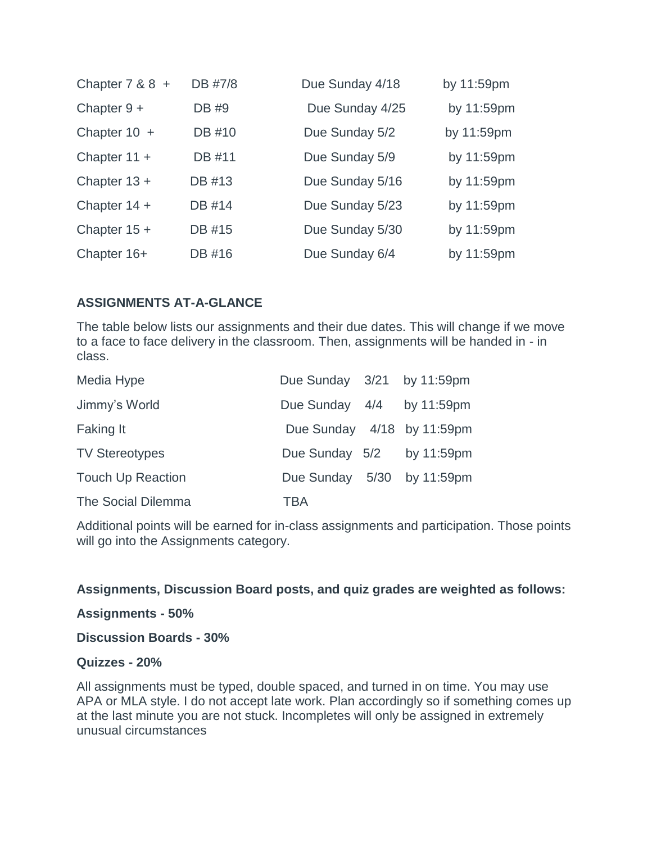| Chapter $7 & 8 & 8 +$ | DB #7/8 | Due Sunday 4/18 | by 11:59pm |
|-----------------------|---------|-----------------|------------|
| Chapter $9 +$         | DB #9   | Due Sunday 4/25 | by 11:59pm |
| Chapter $10 +$        | DB #10  | Due Sunday 5/2  | by 11:59pm |
| Chapter $11 +$        | DB #11  | Due Sunday 5/9  | by 11:59pm |
| Chapter $13 +$        | DB #13  | Due Sunday 5/16 | by 11:59pm |
| Chapter $14 +$        | DB #14  | Due Sunday 5/23 | by 11:59pm |
| Chapter $15 +$        | DB #15  | Due Sunday 5/30 | by 11:59pm |
| Chapter 16+           | DB #16  | Due Sunday 6/4  | by 11:59pm |

## **ASSIGNMENTS AT-A-GLANCE**

The table below lists our assignments and their due dates. This will change if we move to a face to face delivery in the classroom. Then, assignments will be handed in - in class.

| Media Hype               | Due Sunday 3/21 by 11:59pm |  |
|--------------------------|----------------------------|--|
| Jimmy's World            | Due Sunday 4/4 by 11:59pm  |  |
| <b>Faking It</b>         | Due Sunday 4/18 by 11:59pm |  |
| <b>TV Stereotypes</b>    | Due Sunday 5/2 by 11:59pm  |  |
| <b>Touch Up Reaction</b> | Due Sunday 5/30 by 11:59pm |  |
| The Social Dilemma       | TBA                        |  |

Additional points will be earned for in-class assignments and participation. Those points will go into the Assignments category.

## **Assignments, Discussion Board posts, and quiz grades are weighted as follows:**

#### **Assignments - 50%**

**Discussion Boards - 30%**

### **Quizzes - 20%**

All assignments must be typed, double spaced, and turned in on time. You may use APA or MLA style. I do not accept late work. Plan accordingly so if something comes up at the last minute you are not stuck. Incompletes will only be assigned in extremely unusual circumstances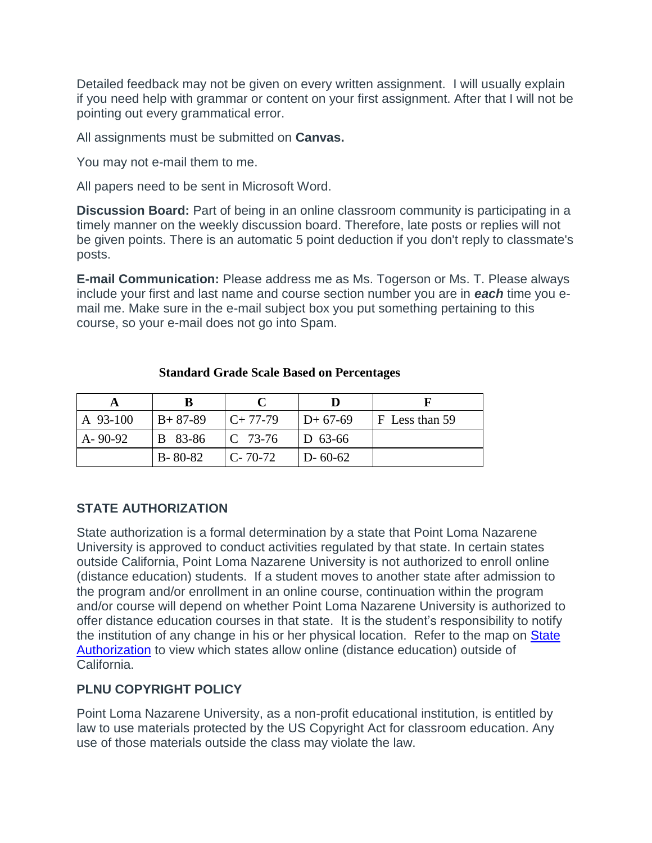Detailed feedback may not be given on every written assignment. I will usually explain if you need help with grammar or content on your first assignment. After that I will not be pointing out every grammatical error.

All assignments must be submitted on **Canvas.**

You may not e-mail them to me.

All papers need to be sent in Microsoft Word.

**Discussion Board:** Part of being in an online classroom community is participating in a timely manner on the weekly discussion board. Therefore, late posts or replies will not be given points. There is an automatic 5 point deduction if you don't reply to classmate's posts.

**E-mail Communication:** Please address me as Ms. Togerson or Ms. T. Please always include your first and last name and course section number you are in *each* time you email me. Make sure in the e-mail subject box you put something pertaining to this course, so your e-mail does not go into Spam.

|               | B             |                |               |                |
|---------------|---------------|----------------|---------------|----------------|
| A 93-100      | $B+87-89$     | $C+77-79$      | $ID + 67-69$  | F Less than 59 |
| $A - 90 - 92$ | B 83-86       | $\Gamma$ 73-76 | $ D 63-66 $   |                |
|               | $B - 80 - 82$ | $C - 70 - 72$  | $D - 60 - 62$ |                |

#### **Standard Grade Scale Based on Percentages**

## **STATE AUTHORIZATION**

State authorization is a formal determination by a state that Point Loma Nazarene University is approved to conduct activities regulated by that state. In certain states outside California, Point Loma Nazarene University is not authorized to enroll online (distance education) students. If a student moves to another state after admission to the program and/or enrollment in an online course, continuation within the program and/or course will depend on whether Point Loma Nazarene University is authorized to offer distance education courses in that state. It is the student's responsibility to notify the institution of any change in his or her physical location. Refer to the map on State [Authorization](https://www.pointloma.edu/offices/office-institutional-effectiveness-research/disclosures) to view which states allow online (distance education) outside of California.

## **PLNU COPYRIGHT POLICY**

Point Loma Nazarene University, as a non-profit educational institution, is entitled by law to use materials protected by the US Copyright Act for classroom education. Any use of those materials outside the class may violate the law.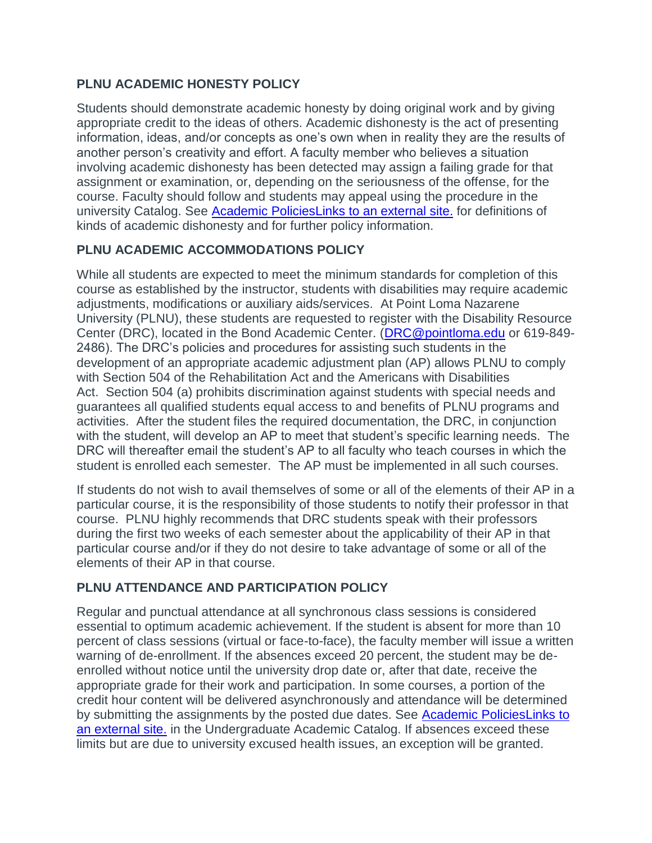## **PLNU ACADEMIC HONESTY POLICY**

Students should demonstrate academic honesty by doing original work and by giving appropriate credit to the ideas of others. Academic dishonesty is the act of presenting information, ideas, and/or concepts as one's own when in reality they are the results of another person's creativity and effort. A faculty member who believes a situation involving academic dishonesty has been detected may assign a failing grade for that assignment or examination, or, depending on the seriousness of the offense, for the course. Faculty should follow and students may appeal using the procedure in the university Catalog. See [Academic PoliciesLinks](http://catalog.pointloma.edu/content.php?catoid=18&navoid=1278) to an external site. for definitions of kinds of academic dishonesty and for further policy information.

## **PLNU ACADEMIC ACCOMMODATIONS POLICY**

While all students are expected to meet the minimum standards for completion of this course as established by the instructor, students with disabilities may require academic adjustments, modifications or auxiliary aids/services. At Point Loma Nazarene University (PLNU), these students are requested to register with the Disability Resource Center (DRC), located in the Bond Academic Center. [\(DRC@pointloma.edu](mailto:DRC@pointloma.edu) or 619-849- 2486). The DRC's policies and procedures for assisting such students in the development of an appropriate academic adjustment plan (AP) allows PLNU to comply with Section 504 of the Rehabilitation Act and the Americans with Disabilities Act. Section 504 (a) prohibits discrimination against students with special needs and guarantees all qualified students equal access to and benefits of PLNU programs and activities. After the student files the required documentation, the DRC, in conjunction with the student, will develop an AP to meet that student's specific learning needs. The DRC will thereafter email the student's AP to all faculty who teach courses in which the student is enrolled each semester. The AP must be implemented in all such courses.

If students do not wish to avail themselves of some or all of the elements of their AP in a particular course, it is the responsibility of those students to notify their professor in that course. PLNU highly recommends that DRC students speak with their professors during the first two weeks of each semester about the applicability of their AP in that particular course and/or if they do not desire to take advantage of some or all of the elements of their AP in that course.

# **PLNU ATTENDANCE AND PARTICIPATION POLICY**

Regular and punctual attendance at all synchronous class sessions is considered essential to optimum academic achievement. If the student is absent for more than 10 percent of class sessions (virtual or face-to-face), the faculty member will issue a written warning of de-enrollment. If the absences exceed 20 percent, the student may be deenrolled without notice until the university drop date or, after that date, receive the appropriate grade for their work and participation. In some courses, a portion of the credit hour content will be delivered asynchronously and attendance will be determined by submitting the assignments by the posted due dates. See [Academic PoliciesLinks](http://catalog.pointloma.edu/content.php?catoid=18&navoid=1278) to an [external](http://catalog.pointloma.edu/content.php?catoid=18&navoid=1278) site. in the Undergraduate Academic Catalog. If absences exceed these limits but are due to university excused health issues, an exception will be granted.